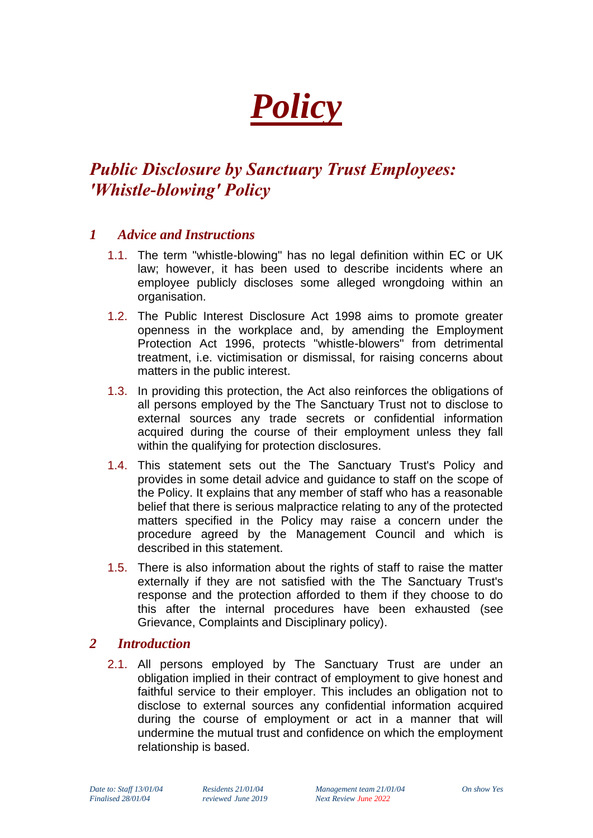# *Policy*

## *Public Disclosure by Sanctuary Trust Employees: 'Whistle-blowing' Policy*

### *1 Advice and Instructions*

- 1.1. The term "whistle-blowing" has no legal definition within EC or UK law; however, it has been used to describe incidents where an employee publicly discloses some alleged wrongdoing within an organisation.
- 1.2. The Public Interest Disclosure Act 1998 aims to promote greater openness in the workplace and, by amending the Employment Protection Act 1996, protects "whistle-blowers" from detrimental treatment, i.e. victimisation or dismissal, for raising concerns about matters in the public interest.
- 1.3. In providing this protection, the Act also reinforces the obligations of all persons employed by the The Sanctuary Trust not to disclose to external sources any trade secrets or confidential information acquired during the course of their employment unless they fall within the qualifying for protection disclosures.
- 1.4. This statement sets out the The Sanctuary Trust's Policy and provides in some detail advice and guidance to staff on the scope of the Policy. It explains that any member of staff who has a reasonable belief that there is serious malpractice relating to any of the protected matters specified in the Policy may raise a concern under the procedure agreed by the Management Council and which is described in this statement.
- 1.5. There is also information about the rights of staff to raise the matter externally if they are not satisfied with the The Sanctuary Trust's response and the protection afforded to them if they choose to do this after the internal procedures have been exhausted (see Grievance, Complaints and Disciplinary policy).

#### *2 Introduction*

2.1. All persons employed by The Sanctuary Trust are under an obligation implied in their contract of employment to give honest and faithful service to their employer. This includes an obligation not to disclose to external sources any confidential information acquired during the course of employment or act in a manner that will undermine the mutual trust and confidence on which the employment relationship is based.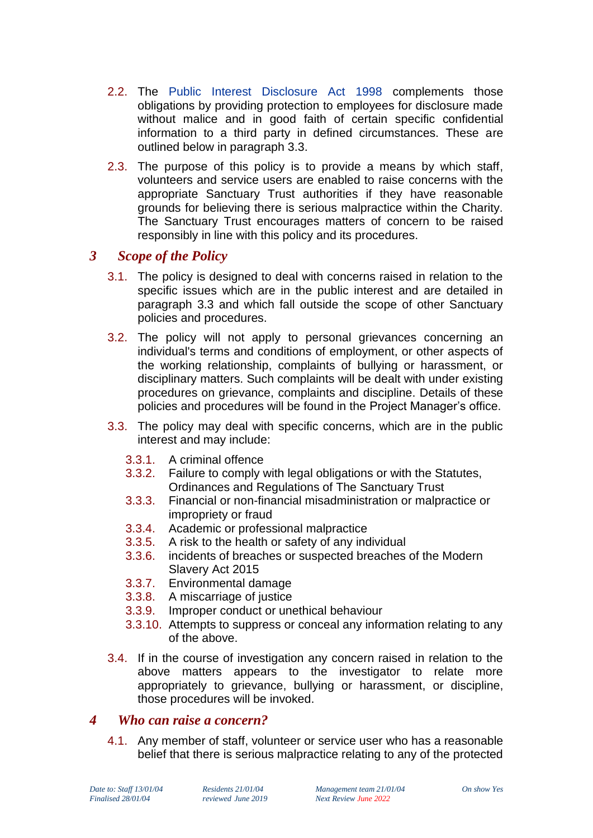- 2.2. The [Public Interest Disclosure Act 1998](file://///sanctuarytrust.local/tst-dfs/tst/Level2/4%20Operations/Policy%20&%20Procedure/1%20Reviewed/Public%20Interest%20Disclosure%20Act%201998.doc) complements those obligations by providing protection to employees for disclosure made without malice and in good faith of certain specific confidential information to a third party in defined circumstances. These are outlined below in paragraph 3.3.
- 2.3. The purpose of this policy is to provide a means by which staff, volunteers and service users are enabled to raise concerns with the appropriate Sanctuary Trust authorities if they have reasonable grounds for believing there is serious malpractice within the Charity. The Sanctuary Trust encourages matters of concern to be raised responsibly in line with this policy and its procedures.

#### *3 Scope of the Policy*

- 3.1. The policy is designed to deal with concerns raised in relation to the specific issues which are in the public interest and are detailed in paragraph 3.3 and which fall outside the scope of other Sanctuary policies and procedures.
- 3.2. The policy will not apply to personal grievances concerning an individual's terms and conditions of employment, or other aspects of the working relationship, complaints of bullying or harassment, or disciplinary matters. Such complaints will be dealt with under existing procedures on grievance, complaints and discipline. Details of these policies and procedures will be found in the Project Manager's office.
- 3.3. The policy may deal with specific concerns, which are in the public interest and may include:
	- 3.3.1. A criminal offence
	- 3.3.2. Failure to comply with legal obligations or with the Statutes, Ordinances and Regulations of The Sanctuary Trust
	- 3.3.3. Financial or non-financial misadministration or malpractice or impropriety or fraud
	- 3.3.4. Academic or professional malpractice
	- 3.3.5. A risk to the health or safety of any individual
	- 3.3.6. incidents of breaches or suspected breaches of the Modern Slavery Act 2015
	- 3.3.7. Environmental damage
	- 3.3.8. A miscarriage of justice
	- 3.3.9. Improper conduct or unethical behaviour
	- 3.3.10. Attempts to suppress or conceal any information relating to any of the above.
- 3.4. If in the course of investigation any concern raised in relation to the above matters appears to the investigator to relate more appropriately to grievance, bullying or harassment, or discipline, those procedures will be invoked.

#### *4 Who can raise a concern?*

4.1. Any member of staff, volunteer or service user who has a reasonable belief that there is serious malpractice relating to any of the protected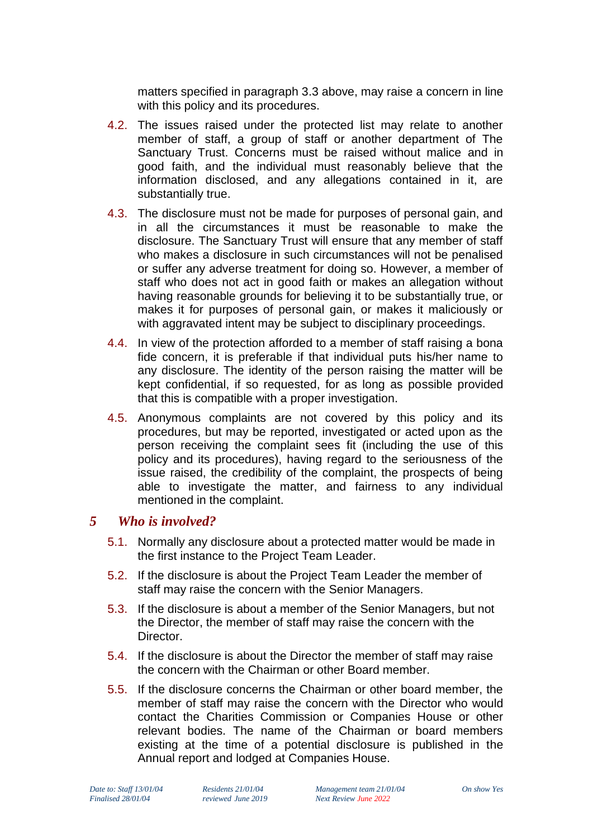matters specified in paragraph 3.3 above, may raise a concern in line with this policy and its procedures.

- 4.2. The issues raised under the protected list may relate to another member of staff, a group of staff or another department of The Sanctuary Trust. Concerns must be raised without malice and in good faith, and the individual must reasonably believe that the information disclosed, and any allegations contained in it, are substantially true.
- 4.3. The disclosure must not be made for purposes of personal gain, and in all the circumstances it must be reasonable to make the disclosure. The Sanctuary Trust will ensure that any member of staff who makes a disclosure in such circumstances will not be penalised or suffer any adverse treatment for doing so. However, a member of staff who does not act in good faith or makes an allegation without having reasonable grounds for believing it to be substantially true, or makes it for purposes of personal gain, or makes it maliciously or with aggravated intent may be subject to disciplinary proceedings.
- 4.4. In view of the protection afforded to a member of staff raising a bona fide concern, it is preferable if that individual puts his/her name to any disclosure. The identity of the person raising the matter will be kept confidential, if so requested, for as long as possible provided that this is compatible with a proper investigation.
- 4.5. Anonymous complaints are not covered by this policy and its procedures, but may be reported, investigated or acted upon as the person receiving the complaint sees fit (including the use of this policy and its procedures), having regard to the seriousness of the issue raised, the credibility of the complaint, the prospects of being able to investigate the matter, and fairness to any individual mentioned in the complaint.

#### *5 Who is involved?*

- 5.1. Normally any disclosure about a protected matter would be made in the first instance to the Project Team Leader.
- 5.2. If the disclosure is about the Project Team Leader the member of staff may raise the concern with the Senior Managers.
- 5.3. If the disclosure is about a member of the Senior Managers, but not the Director, the member of staff may raise the concern with the Director.
- 5.4. If the disclosure is about the Director the member of staff may raise the concern with the Chairman or other Board member.
- 5.5. If the disclosure concerns the Chairman or other board member, the member of staff may raise the concern with the Director who would contact the Charities Commission or Companies House or other relevant bodies. The name of the Chairman or board members existing at the time of a potential disclosure is published in the Annual report and lodged at Companies House.